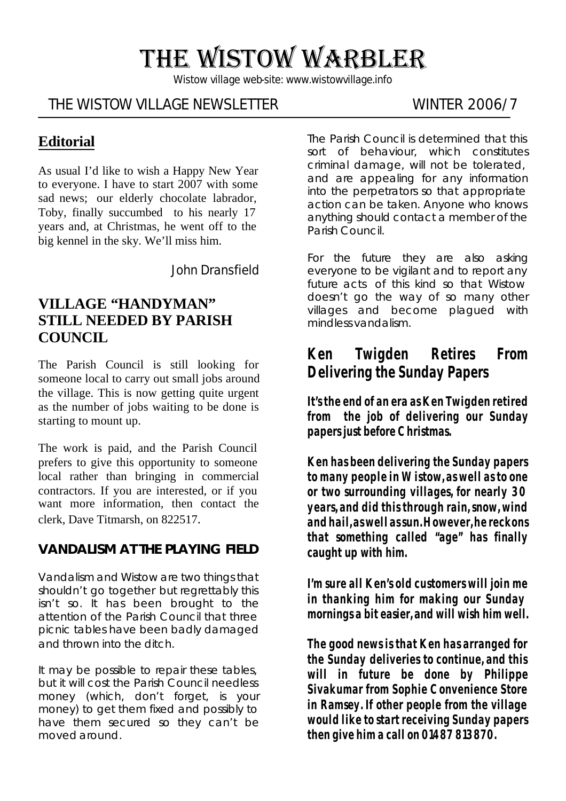# THE WISTOW WARBLER

*Wistow village web-site: www.wistowvillage.info*

## THE WISTOW VILLAGE NEWSLETTER WINTER 2006/7

## **Editorial**

As usual I'd like to wish a Happy New Year to everyone. I have to start 2007 with some sad news; our elderly chocolate labrador, Toby, finally succumbed to his nearly 17 years and, at Christmas, he went off to the big kennel in the sky. We'll miss him.

John Dransfield

## **VILLAGE "HANDYMAN" STILL NEEDED BY PARISH COUNCIL**

The Parish Council is still looking for someone local to carry out small jobs around the village. This is now getting quite urgent as the number of jobs waiting to be done is starting to mount up.

The work is paid, and the Parish Council prefers to give this opportunity to someone local rather than bringing in commercial contractors. If you are interested, or if you want more information, then contact the clerk, Dave Titmarsh, on 822517.

#### **VANDALISM AT THE PLAYING FIELD**

Vandalism and Wistow are two things that shouldn't go together but regrettably this isn't so. It has been brought to the attention of the Parish Council that three picnic tables have been badly damaged and thrown into the ditch.

It may be possible to repair these tables, but it will cost the Parish Council needless money (which, don't forget, is your money) to get them fixed and possibly to have them secured so they can't be moved around.

The Parish Council is determined that this sort of behaviour, which constitutes criminal damage, will not be tolerated, and are appealing for any information into the perpetrators so that appropriate action can be taken. Anyone who knows anything should contact a member of the Parish Council.

For the future they are also asking everyone to be vigilant and to report any future acts of this kind so that Wistow doesn't go the way of so many other villages and become plagued with mindless vandalism.

## **Ken Twigden Retires From Delivering the Sunday Papers**

**It's the end of an era as Ken Twigden retired from the job of delivering our Sunday papers just before Christmas.**

**Ken has been delivering the Sunday papers to many people in Wistow, as well as to one or two surrounding villages, for nearly 30 years, and did this through rain, snow, wind and hail, as well as sun. However, he reckons that something called "age" has finally caught up with him.**

**I'm sure all Ken's old customers will join me in thanking him for making our Sunday mornings a bit easier, and will wish him well.** 

**The good news is that Ken has arranged for the Sunday deliveries to continue, and this will in future be done by Philippe Sivakumar from Sophie Convenience Store in Ramsey. If other people from the village would like to start receiving Sunday papers then give him a call on 01487 813870.**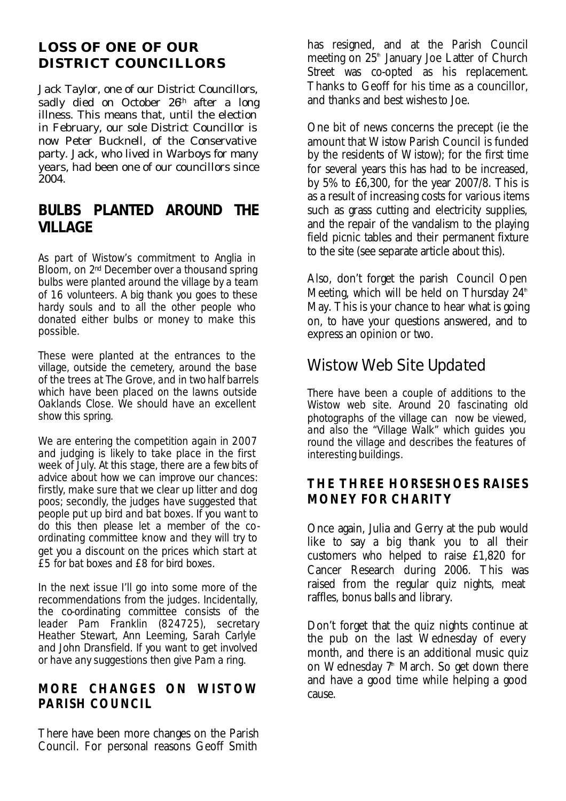#### **LOSS OF ONE OF OUR DISTRICT COUNCILLORS**

Jack Taylor, one of our District Councillors, sadly died on October 26<sup>th</sup> after a long illness. This means that, until the election in February, our sole District Councillor is now Peter Bucknell, of the Conservative party. Jack, who lived in Warboys for many years, had been one of our councillors since 2004.

## **BULBS PLANTED AROUND THE VILLAGE**

As part of Wistow's commitment to Anglia in Bloom, on 2<sup>nd</sup> December over a thousand spring bulbs were planted around the village by a team of 16 volunteers. A big thank you goes to these hardy souls and to all the other people who donated either bulbs or money to make this possible.

These were planted at the entrances to the village, outside the cemetery, around the base of the trees at The Grove, and in two half barrels which have been placed on the lawns outside Oaklands Close. We should have an excellent show this spring.

We are entering the competition again in 2007 and judging is likely to take place in the first week of July. At this stage, there are a few bits of advice about how we can improve our chances: firstly, make sure that we clear up litter and dog poos; secondly, the judges have suggested that people put up bird and bat boxes. If you want to do this then please let a member of the coordinating committee know and they will try to get you a discount on the prices which start at £5 for bat boxes and £8 for bird boxes.

In the next issue I'll go into some more of the recommendations from the judges. Incidentally, the co-ordinating committee consists of the leader Pam Franklin (824725), secretary Heather Stewart, Ann Leeming, Sarah Carlyle and John Dransfield. If you want to get involved or have any suggestions then give Pam a ring.

#### **MORE CHANGES ON WISTOW PARISH COUNCIL**

There have been more changes on the Parish Council. For personal reasons Geoff Smith

has resigned, and at the Parish Council meeting on 25<sup>th</sup> January Joe Latter of Church Street was co-opted as his replacement. Thanks to Geoff for his time as a councillor, and thanks and best wishes to Joe.

One bit of news concerns the precept (ie the amount that Wistow Parish Council is funded by the residents of Wistow); for the first time for several years this has had to be increased, by 5% to £6,300, for the year 2007/8. This is as a result of increasing costs for various items such as grass cutting and electricity supplies, and the repair of the vandalism to the playing field picnic tables and their permanent fixture to the site (see separate article about this).

Also, don't forget the parish Council Open Meeting, which will be held on Thursday  $24<sup>th</sup>$ May. This is your chance to hear what is going on, to have your questions answered, and to express an opinion or two.

# Wistow Web Site Updated

There have been a couple of additions to the Wistow web site. Around 20 fascinating old photographs of the village can now be viewed, and also the "Village Walk" which guides you round the village and describes the features of interesting buildings.

#### **THE THREE HORSESHOES RAISES MONEY FOR CHARITY**

Once again, Julia and Gerry at the pub would like to say a big thank you to all their customers who helped to raise £1,820 for Cancer Research during 2006. This was raised from the regular quiz nights, meat raffles, bonus balls and library.

Don't forget that the quiz nights continue at the pub on the last Wednesday of every month, and there is an additional music quiz on Wednesday 7<sup>th</sup> March. So get down there and have a good time while helping a good cause.